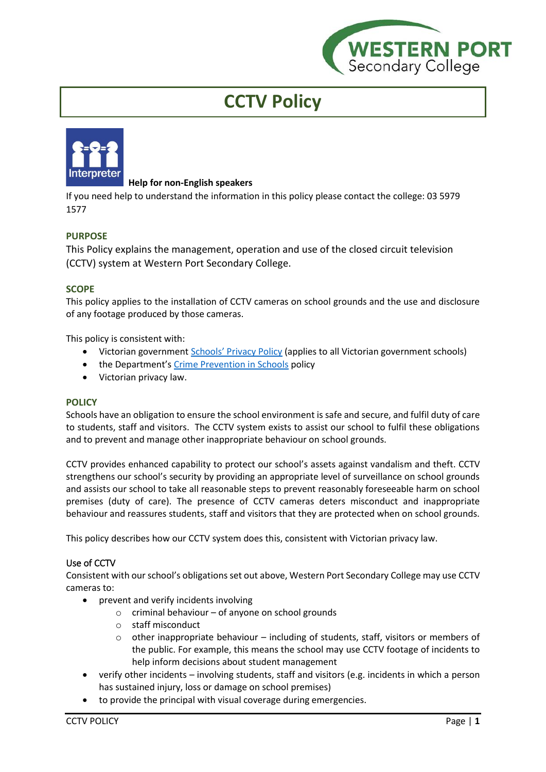

# **CCTV Policy**



# **Help for non-English speakers**

If you need help to understand the information in this policy please contact the college: 03 5979 1577

# **PURPOSE**

This Policy explains the management, operation and use of the closed circuit television (CCTV) system at Western Port Secondary College.

# **SCOPE**

This policy applies to the installation of CCTV cameras on school grounds and the use and disclosure of any footage produced by those cameras.

This policy is consistent with:

- Victorian government [Schools' Privacy Policy](https://www.education.vic.gov.au/Pages/schoolsprivacypolicy.aspx) (applies to all Victorian government schools)
- the Department's [Crime Prevention in Schools](https://www2.education.vic.gov.au/pal/crime-prevention-schools/policy) policy
- Victorian privacy law.

## **POLICY**

Schools have an obligation to ensure the school environment is safe and secure, and fulfil duty of care to students, staff and visitors. The CCTV system exists to assist our school to fulfil these obligations and to prevent and manage other inappropriate behaviour on school grounds.

CCTV provides enhanced capability to protect our school's assets against vandalism and theft. CCTV strengthens our school's security by providing an appropriate level of surveillance on school grounds and assists our school to take all reasonable steps to prevent reasonably foreseeable harm on school premises (duty of care). The presence of CCTV cameras deters misconduct and inappropriate behaviour and reassures students, staff and visitors that they are protected when on school grounds.

This policy describes how our CCTV system does this, consistent with Victorian privacy law.

## Use of CCTV

Consistent with our school's obligations set out above, Western Port Secondary College may use CCTV cameras to:

- prevent and verify incidents involving
	- $\circ$  criminal behaviour of anyone on school grounds
	- o staff misconduct
	- o other inappropriate behaviour including of students, staff, visitors or members of the public. For example, this means the school may use CCTV footage of incidents to help inform decisions about student management
- verify other incidents involving students, staff and visitors (e.g. incidents in which a person has sustained injury, loss or damage on school premises)
- to provide the principal with visual coverage during emergencies.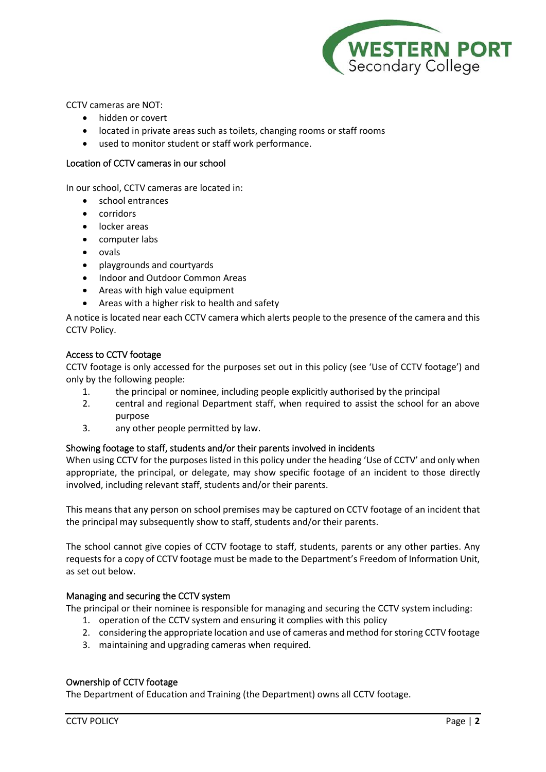

CCTV cameras are NOT:

- hidden or covert
- located in private areas such as toilets, changing rooms or staff rooms
- used to monitor student or staff work performance.

#### Location of CCTV cameras in our school

In our school, CCTV cameras are located in:

- school entrances
- corridors
- locker areas
- computer labs
- ovals
- playgrounds and courtyards
- Indoor and Outdoor Common Areas
- Areas with high value equipment
- Areas with a higher risk to health and safety

A notice is located near each CCTV camera which alerts people to the presence of the camera and this CCTV Policy.

#### Access to CCTV footage

CCTV footage is only accessed for the purposes set out in this policy (see 'Use of CCTV footage') and only by the following people:

- 1. the principal or nominee, including people explicitly authorised by the principal
- 2. central and regional Department staff, when required to assist the school for an above purpose
- 3. any other people permitted by law.

#### Showing footage to staff, students and/or their parents involved in incidents

When using CCTV for the purposes listed in this policy under the heading 'Use of CCTV' and only when appropriate, the principal, or delegate, may show specific footage of an incident to those directly involved, including relevant staff, students and/or their parents.

This means that any person on school premises may be captured on CCTV footage of an incident that the principal may subsequently show to staff, students and/or their parents.

The school cannot give copies of CCTV footage to staff, students, parents or any other parties. Any requests for a copy of CCTV footage must be made to the Department's Freedom of Information Unit, as set out below.

## Managing and securing the CCTV system

The principal or their nominee is responsible for managing and securing the CCTV system including:

- 1. operation of the CCTV system and ensuring it complies with this policy
- 2. considering the appropriate location and use of cameras and method for storing CCTV footage
- 3. maintaining and upgrading cameras when required.

## Ownership of CCTV footage

The Department of Education and Training (the Department) owns all CCTV footage.